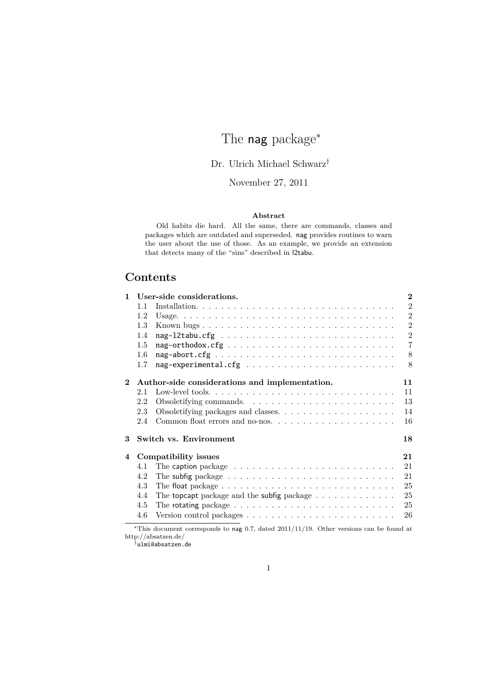# The **nag** package<sup>\*</sup>

## Dr. Ulrich Michael Schwarz†

### November 27, 2011

#### **Abstract**

Old habits die hard. All the same, there are commands, classes and packages which are outdated and superseded. nag provides routines to warn the user about the use of those. As an example, we provide an extension that detects many of the "sins" described in l2tabu.

## **Contents**

| $\mathbf{1}$   |         | User-side considerations.                                                                                         | $\overline{2}$ |
|----------------|---------|-------------------------------------------------------------------------------------------------------------------|----------------|
|                | 1.1     |                                                                                                                   | $\overline{2}$ |
|                | 1.2     |                                                                                                                   | $\overline{2}$ |
|                | 1.3     | Known bugs                                                                                                        | $\overline{2}$ |
|                | 1.4     |                                                                                                                   | $\overline{2}$ |
|                | 1.5     |                                                                                                                   | $\overline{7}$ |
|                | $1.6\,$ |                                                                                                                   | 8              |
|                | 1.7     |                                                                                                                   | 8              |
| $\overline{2}$ |         | Author-side considerations and implementation.                                                                    | 11             |
|                | 2.1     |                                                                                                                   | 11             |
|                | 2.2     |                                                                                                                   | 13             |
|                | 2.3     | Obsoletifying packages and classes                                                                                | 14             |
|                | 2.4     | Common float errors and no-nos. $\dots \dots \dots \dots \dots \dots \dots$                                       | 16             |
| 3              |         | Switch vs. Environment                                                                                            | 18             |
| 4              |         | Compatibility issues                                                                                              | 21             |
|                | 4.1     | The caption package $\ldots \ldots \ldots \ldots \ldots \ldots \ldots \ldots$                                     | 21             |
|                | 4.2     | The subfig package $\ldots \ldots \ldots \ldots \ldots \ldots \ldots \ldots \ldots$                               | 21             |
|                | 4.3     |                                                                                                                   | 25             |
|                | 4.4     | The topcapt package and the subfig package $\dots \dots \dots \dots$                                              | 25             |
|                | 4.5     | The rotating package $\ldots \ldots \ldots \ldots \ldots \ldots \ldots \ldots$                                    | 25             |
|                | 4.6     |                                                                                                                   | 26             |
|                |         | *This document corresponds to nag 0.7, dated $2011/11/19$ . Other versions can be found at<br>http://absatzen.de/ |                |

†ulmi@absatzen.de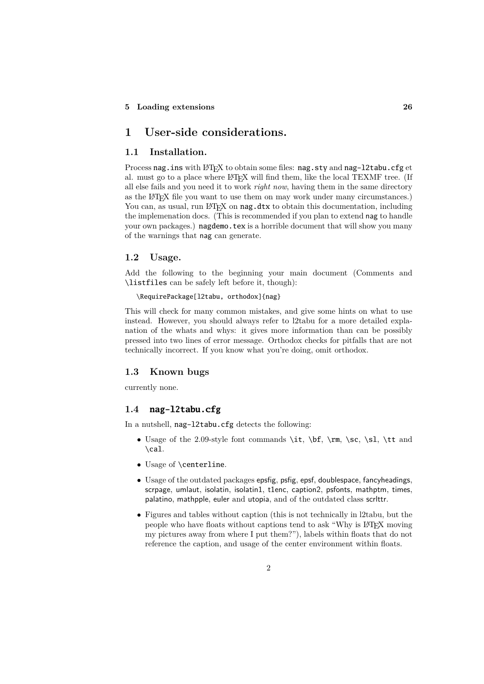#### **5 Loading extensions 26**

## **1 User-side considerations.**

#### **1.1 Installation.**

Process nag.ins with LATEX to obtain some files: nag.sty and nag-12tabu.cfg et al. must go to a place where LATEX will find them, like the local TEXMF tree. (If all else fails and you need it to work *right now*, having them in the same directory as the LATEX file you want to use them on may work under many circumstances.) You can, as usual, run LATEX on  $\text{mag}}.\text{dtx}$  to obtain this documentation, including the implemenation docs. (This is recommended if you plan to extend nag to handle your own packages.) nagdemo.tex is a horrible document that will show you many of the warnings that nag can generate.

#### **1.2 Usage.**

Add the following to the beginning your main document (Comments and \listfiles can be safely left before it, though):

\RequirePackage[l2tabu, orthodox]{nag}

This will check for many common mistakes, and give some hints on what to use instead. However, you should always refer to l2tabu for a more detailed explanation of the whats and whys: it gives more information than can be possibly pressed into two lines of error message. Orthodox checks for pitfalls that are not technically incorrect. If you know what you're doing, omit orthodox.

#### **1.3 Known bugs**

currently none.

#### **1.4 nag-l2tabu.cfg**

In a nutshell, nag-l2tabu.cfg detects the following:

- Usage of the 2.09-style font commands \it, \bf, \rm, \sc, \sl, \tt and \cal.
- Usage of \centerline.
- Usage of the outdated packages epsfig, psfig, epsf, doublespace, fancyheadings, scrpage, umlaut, isolatin, isolatin1, t1enc, caption2, psfonts, mathptm, times, palatino, mathpple, euler and utopia, and of the outdated class scrlttr.
- Figures and tables without caption (this is not technically in l2tabu, but the people who have floats without captions tend to ask "Why is L<sup>AT</sup>EX moving my pictures away from where I put them?"), labels within floats that do not reference the caption, and usage of the center environment within floats.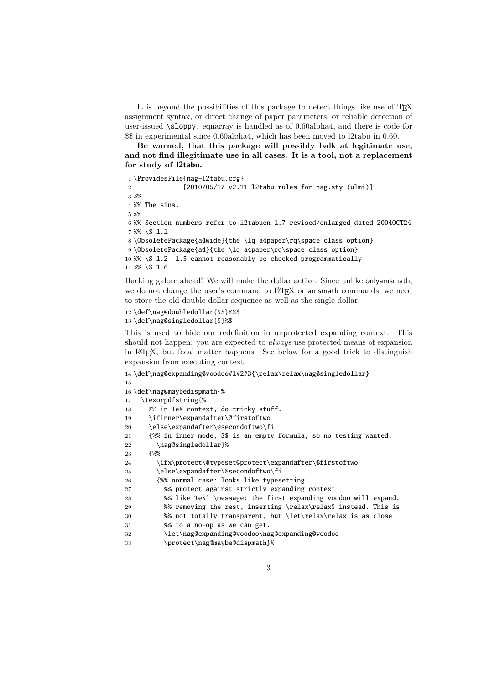It is beyond the possibilities of this package to detect things like use of TEX assignment syntax, or direct change of paper parameters, or reliable detection of user-issued \sloppy. eqnarray is handled as of 0.60alpha4, and there is code for \$\$ in experimental since 0.60alpha4, which has been moved to l2tabu in 0.60.

**Be warned, that this package will possibly balk at legitimate use, and not find illegitimate use in all cases. It is a tool, not a replacement for study of l2tabu.**

```
1 \ProvidesFile{nag-l2tabu.cfg}
2 [2010/05/17 v2.11 l2tabu rules for nag.sty (ulmi)]
3 %%
4 %% The sins.
5 %%
6 %% Section numbers refer to l2tabuen 1.7 revised/enlarged dated 2004OCT24
7 %% \S 1.1
8 \ObsoletePackage{a4wide}{the \lq a4paper\rq\space class option}
9 \ObsoletePackage{a4}{the \lq a4paper\rq\space class option}
10 %% \S 1.2--1.5 cannot reasonably be checked programmatically
11 %% \S 1.6
```
Hacking galore ahead! We will make the dollar active. Since unlike onlyamsmath, we do not change the user's command to LATEX or amsmath commands, we need to store the old double dollar sequence as well as the single dollar.

```
12 \def\nag@doubledollar{$$}%$$
13 \def\nag@singledollar{$}%$
```
This is used to hide our redefinition in unprotected expanding context. This should not happen: you are expected to *always* use protected means of expansion in LATEX, but fecal matter happens. See below for a good trick to distinguish expansion from executing context.

```
14 \def\nag@expanding@voodoo#1#2#3{\relax\relax\nag@singledollar}
```

```
16 \def\nag@maybedispmath{%
```

| 17 | \texorpdfstring{%                                                  |
|----|--------------------------------------------------------------------|
| 18 | %% in TeX context, do tricky stuff.                                |
| 19 | \ifinner\expandafter\@firstoftwo                                   |
| 20 | \else\expandafter\@secondoftwo\fi                                  |
| 21 | {%% in inner mode, \$\$ is an empty formula, so no testing wanted. |
| 22 | \nag@singledollar}%                                                |
| 23 | f %%                                                               |
| 24 | \ifx\protect\@typeset@protect\expandafter\@firstoftwo              |
| 25 | \else\expandafter\@secondoftwo\fi                                  |
| 26 | {%% normal case: looks like typesetting                            |
| 27 | %% protect against strictly expanding context                      |
| 28 | %% like TeX' \message: the first expanding voodoo will expand,     |
| 29 | %% removing the rest, inserting \relax\relax\$ instead. This is    |
| 30 | %% not totally transparent, but \let\relax\relax is as close       |
| 31 | %% to a no-op as we can get.                                       |
| 32 | \let\nag@expanding@voodoo\nag@expanding@voodoo                     |
| 33 | \protect\nag@maybe@dispmath}%                                      |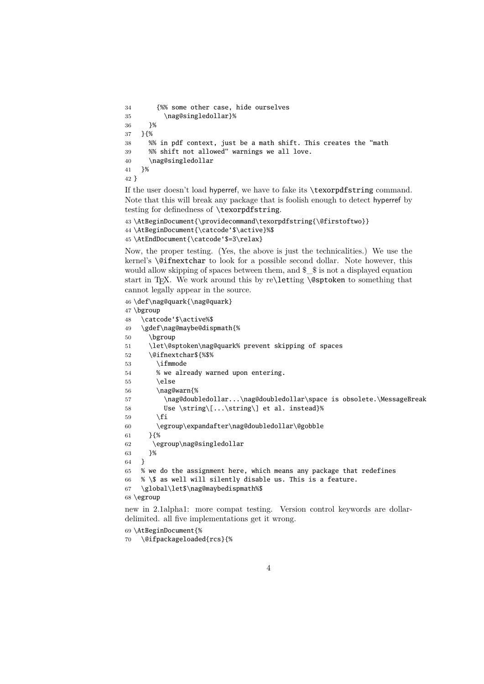```
34 {%% some other case, hide ourselves
35 \nag@singledollar}%
36 }%
37 }{%
38 %% in pdf context, just be a math shift. This creates the "math
39 %% shift not allowed" warnings we all love.
40 \nag@singledollar
41 }%
42 }
```
If the user doesn't load hyperref, we have to fake its \texorpdfstring command. Note that this will break any package that is foolish enough to detect hyperref by testing for definedness of \texorpdfstring.

```
43 \AtBeginDocument{\providecommand\texorpdfstring{\@firstoftwo}}
44 \AtBeginDocument{\catcode'$\active}%$
45 \AtEndDocument{\catcode'$=3\relax}
```
Now, the proper testing. (Yes, the above is just the technicalities.) We use the kernel's \@ifnextchar to look for a possible second dollar. Note however, this would allow skipping of spaces between them, and  $\frac{1}{2}$  is not a displayed equation start in T<sub>E</sub>X. We work around this by re\letting  $\&$  sptoken to something that cannot legally appear in the source.

```
46 \def\nag@quark{\nag@quark}
47 \bgroup
48 \catcode'$\active%$
49 \gdef\nag@maybe@dispmath{%
50 \bgroup
51 \let\@sptoken\nag@quark% prevent skipping of spaces
52 \@ifnextchar${%$%
53 \ifmmode
54 % we already warned upon entering.
55 \quad \text{black}56 \nag@warn{%
57 \nag@doubledollar...\nag@doubledollar\space is obsolete.\MessageBreak
58 Use \string\[...\string\] et al. instead}%
59 \overline{\text{f}}60 \egroup\expandafter\nag@doubledollar\@gobble
61 }{%
62 \egroup\nag@singledollar
63 }%
64 }
65 % we do the assignment here, which means any package that redefines
66 % \$ as well will silently disable us. This is a feature.
67 \global\let$\nag@maybedispmath%$
68 \egroup
```
new in 2.1alpha1: more compat testing. Version control keywords are dollardelimited. all five implementations get it wrong.

```
69 \AtBeginDocument{%
```

```
70 \@ifpackageloaded{rcs}{%
```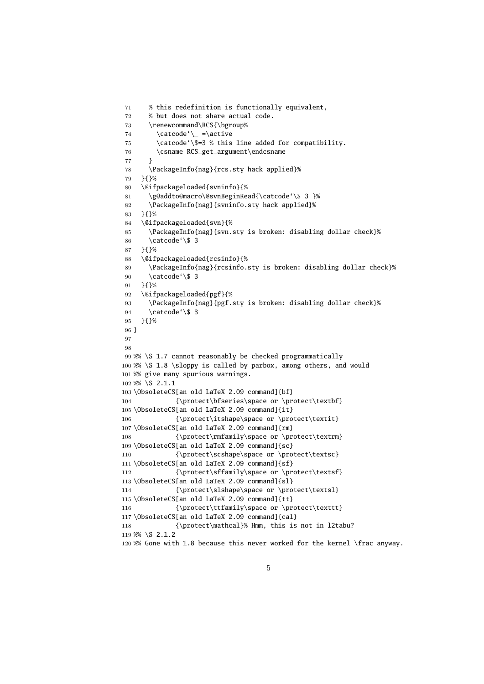```
71 % this redefinition is functionally equivalent,
72 % but does not share actual code.
73 \renewcommand\RCS{\bgroup%
74 \ \text{catcode'} \_ =\ \active75 \catcode'\$=3 % this line added for compatibility.
76 \csname RCS_get_argument\endcsname
77 }
78 \PackageInfo{nag}{rcs.sty hack applied}%
79 }{}%
80 \@ifpackageloaded{svninfo}{%
81 \g@addto@macro\@svnBeginRead{\catcode'\$ 3 }%
82 \PackageInfo{nag}{svninfo.sty hack applied}%
83 }{}%
84 \@ifpackageloaded{svn}{%
85 \PackageInfo{nag}{svn.sty is broken: disabling dollar check}%
86 \catcode'\$ 3
87 }{}%
88 \@ifpackageloaded{rcsinfo}{%
89 \PackageInfo{nag}{rcsinfo.sty is broken: disabling dollar check}%
90 \catcode'\$ 3
91 }{}%
92 \@ifpackageloaded{pgf}{%
93 \PackageInfo{nag}{pgf.sty is broken: disabling dollar check}%
94 \catcode'\$ 3
95 }{}%
96 }
97
98
99 %% \S 1.7 cannot reasonably be checked programmatically
100 %% \S 1.8 \sloppy is called by parbox, among others, and would
101 %% give many spurious warnings.
102 %% \S 2.1.1
103 \ObsoleteCS[an old LaTeX 2.09 command]{bf}
104 {\protect\bfseries\space or \protect\textbf}
105 \ObsoleteCS[an old LaTeX 2.09 command]{it}
106 {\protect\itshape\space or \protect\textit}
107 \ObsoleteCS[an old LaTeX 2.09 command]{rm}
108 {\protect\rmfamily\space or \protect\textrm}
109 \ObsoleteCS[an old LaTeX 2.09 command]{sc}
110 {\protect\scshape\space or \protect\textsc}
111 \ObsoleteCS[an old LaTeX 2.09 command]{sf}
112 {\protect\sffamily\space or \protect\textsf}
113 \ObsoleteCS[an old LaTeX 2.09 command]{sl}
114 {\protect\slshape\space or \protect\textsl}
115 \ObsoleteCS[an old LaTeX 2.09 command]{tt}
116 {\protect\ttfamily\space or \protect\texttt}
117 \ObsoleteCS[an old LaTeX 2.09 command]{cal}
118 {\protect\mathcal}% Hmm, this is not in 12tabu?
119 %% \S 2.1.2
120 %% Gone with 1.8 because this never worked for the kernel \frac anyway.
```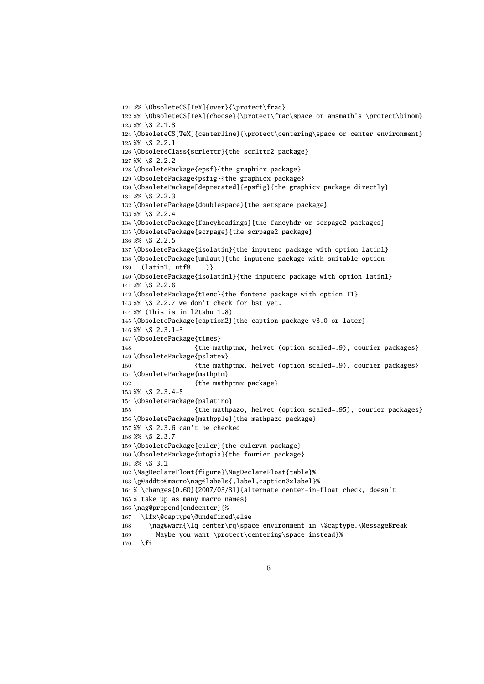```
121 %% \ObsoleteCS[TeX]{over}{\protect\frac}
122 %% \ObsoleteCS[TeX]{choose}{\protect\frac\space or amsmath's \protect\binom}
123 %% \S 2.1.3
124 \ObsoleteCS[TeX]{centerline}{\protect\centering\space or center environment}
125 %% \S 2.2.1
126 \ObsoleteClass{scrlettr}{the scrlttr2 package}
127 %% \S 2.2.2
128 \ObsoletePackage{epsf}{the graphicx package}
129 \ObsoletePackage{psfig}{the graphicx package}
130 \ObsoletePackage[deprecated]{epsfig}{the graphicx package directly}
131 %% \S 2.2.3
132 \ObsoletePackage{doublespace}{the setspace package}
133 %% \S 2.2.4
134 \ObsoletePackage{fancyheadings}{the fancyhdr or scrpage2 packages}
135 \ObsoletePackage{scrpage}{the scrpage2 package}
136 %% \S 2.2.5
137 \ObsoletePackage{isolatin}{the inputenc package with option latin1}
138 \ObsoletePackage{umlaut}{the inputenc package with suitable option
139 (latin1, utf8 ...)}
140 \ObsoletePackage{isolatin1}{the inputenc package with option latin1}
141 %% \S 2.2.6
142 \ObsoletePackage{t1enc}{the fontenc package with option T1}
143 %% \S 2.2.7 we don't check for bst yet.
144 %% (This is in l2tabu 1.8)
145 \ObsoletePackage{caption2}{the caption package v3.0 or later}
146 %% \S 2.3.1-3
147 \ObsoletePackage{times}
148 {the mathptmx, helvet (option scaled=.9), courier packages}149 \ObsoletePackage{pslatex}
150 {the mathptmx, helvet (option scaled=.9), courier packages}
151 \ObsoletePackage{mathptm}
152 {the mathptmx package}
153 %% \S 2.3.4-5
154 \ObsoletePackage{palatino}
155 {the mathpazo, helvet (option scaled=.95), courier packages}156 \ObsoletePackage{mathpple}{the mathpazo package}
157 %% \S 2.3.6 can't be checked
158 %% \S 2.3.7
159 \ObsoletePackage{euler}{the eulervm package}
160 \ObsoletePackage{utopia}{the fourier package}
161 %% \S 3.1
162 \NagDeclareFloat{figure}\NagDeclareFloat{table}%
163 \g@addto@macro\nag@labels{,label,caption@xlabel}%
164 % \changes{0.60}{2007/03/31}{alternate center-in-float check, doesn't
165 % take up as many macro names}
166 \nag@prepend{endcenter}{%
167 \ifx\@captype\@undefined\else
168 \nag@warn{\lq center\rq\space environment in \@captype.\MessageBreak
169 Maybe you want \protect\centering\space instead}%
170 \fi
```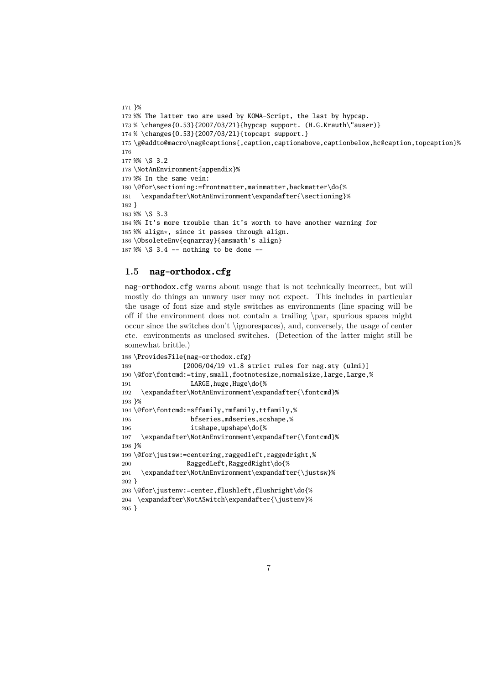```
171 }%
172 %% The latter two are used by KOMA-Script, the last by hypcap.
173 % \changes{0.53}{2007/03/21}{hypcap support. (H.G.Krauth\"auser)}
174 % \changes{0.53}{2007/03/21}{topcapt support.}
175 \g@addto@macro\nag@captions{,caption,captionabove,captionbelow,hc@caption,topcaption}%
176
177 %% \S 3.2
178 \NotAnEnvironment{appendix}%
179 %% In the same vein:
180 \@for\sectioning:=frontmatter,mainmatter,backmatter\do{%
181 \expandafter\NotAnEnvironment\expandafter{\sectioning}%
182 }
183 %% \S 3.3
184 %% It's more trouble than it's worth to have another warning for
185 %% align*, since it passes through align.
186 \ObsoleteEnv{eqnarray}{amsmath's align}
187 %% \S 3.4 -- nothing to be done --
```
#### **1.5 nag-orthodox.cfg**

nag-orthodox.cfg warns about usage that is not technically incorrect, but will mostly do things an unwary user may not expect. This includes in particular the usage of font size and style switches as environments (line spacing will be off if the environment does not contain a trailing  $\parrow$ par, spurious spaces might occur since the switches don't \ignorespaces), and, conversely, the usage of center etc. environments as unclosed switches. (Detection of the latter might still be somewhat brittle.)

```
188 \ProvidesFile{nag-orthodox.cfg}
189 [2006/04/19 v1.8 strict rules for nag.sty (ulmi)]
190\@for\fontcmd:=tiny,small,footnotesize,normalsize,large,Large,%
191 LARGE, huge, Huge\do{%
192 \expandafter\NotAnEnvironment\expandafter{\fontcmd}%
193 }%
194 \@for\fontcmd:=sffamily,rmfamily,ttfamily,%
195 bfseries, mdseries, scshape,%
196 itshape,upshape\do{%
197 \expandafter\NotAnEnvironment\expandafter{\fontcmd}%
198 }%
199 \@for\justsw:=centering,raggedleft,raggedright,%
200 RaggedLeft,RaggedRight\do{%
201 \expandafter\NotAnEnvironment\expandafter{\justsw}%
202 }
203 \@for\justenv:=center,flushleft,flushright\do{%
204 \expandafter\NotASwitch\expandafter{\justenv}%
205 }
```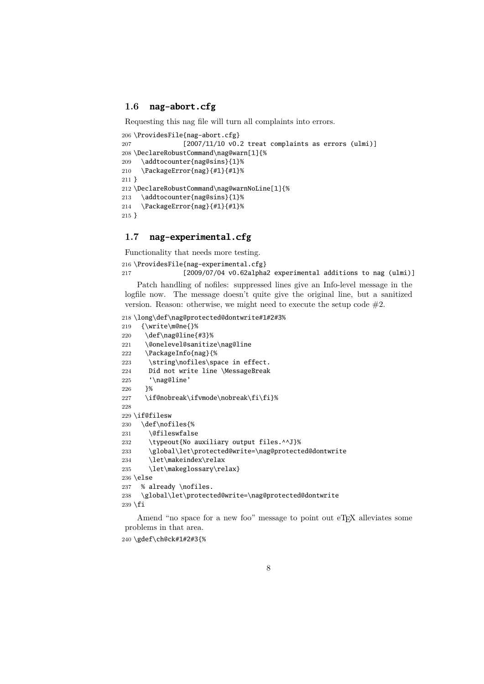### **1.6 nag-abort.cfg**

Requesting this nag file will turn all complaints into errors.

```
206 \ProvidesFile{nag-abort.cfg}
207 [2007/11/10 v0.2 treat complaints as errors (ulmi)]
208 \DeclareRobustCommand\nag@warn[1]{%
209 \addtocounter{nag@sins}{1}%
210 \PackageError{nag}{#1}{#1}%
211 }
212 \DeclareRobustCommand\nag@warnNoLine[1]{%
213 \addtocounter{nag@sins}{1}%
214 \PackageError{nag}{#1}{#1}%
215 }
```
#### **1.7 nag-experimental.cfg**

Functionality that needs more testing.

```
216 \ProvidesFile{nag-experimental.cfg}
217 [2009/07/04 v0.62alpha2 experimental additions to nag (ulmi)]
```
Patch handling of nofiles: suppressed lines give an Info-level message in the logfile now. The message doesn't quite give the original line, but a sanitized version. Reason: otherwise, we might need to execute the setup code  $#2$ .

```
218 \long\def\nag@protected@dontwrite#1#2#3%
```

```
219 {\write\m@ne{}%
220 \def\nag@line{#3}%
221 \@onelevel@sanitize\nag@line
222 \PackageInfo{nag}{%
223 \string\nofiles\space in effect.
224 Did not write line \MessageBreak
225 '\nag@line'
226 }%
227 \if@nobreak\ifvmode\nobreak\fi\fi}%
228
229 \if@filesw
230 \def\nofiles{%
231 \@fileswfalse
232 \typeout{No auxiliary output files.^^J}%
233 \global\let\protected@write=\nag@protected@dontwrite
234 \let\makeindex\relax
235 \let\makeglossary\relax}
236 \else
237 % already \nofiles.
238 \global\let\protected@write=\nag@protected@dontwrite
239 \setminus fi
```
Amend "no space for a new foo" message to point out eTEX alleviates some problems in that area.

\gdef\ch@ck#1#2#3{%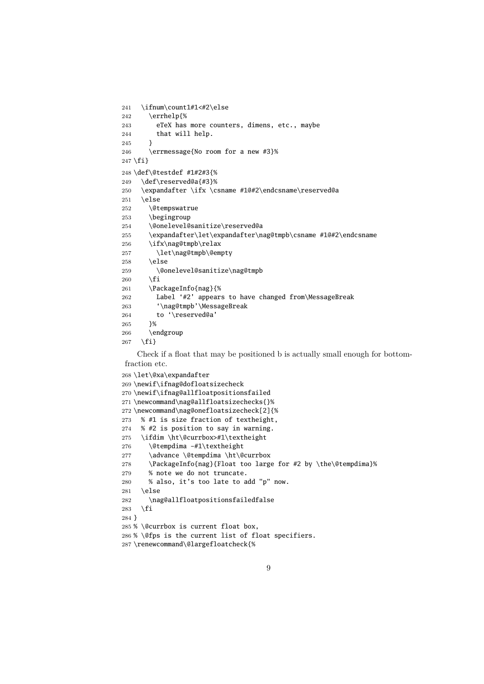```
241 \ifnum\count1#1<#2\else
242 \errhelp{%
243 eTeX has more counters, dimens, etc., maybe
244 that will help.
245 }
246 \errmessage{No room for a new #3}%
247 \fi}
248 \def\@testdef #1#2#3{%
249 \def\reserved@a{#3}%
250 \expandafter \ifx \csname #1@#2\endcsname\reserved@a
251 \else
252 \@tempswatrue
253 \begingroup
254 \@onelevel@sanitize\reserved@a
255 \expandafter\let\expandafter\nag@tmpb\csname #1@#2\endcsname
256 \ifx\nag@tmpb\relax
257 \let\nag@tmpb\@empty
258 \else
259 \@onelevel@sanitize\nag@tmpb
260 \forallfi
261 \PackageInfo{nag}{%
262 Label '#2' appears to have changed from\MessageBreak
263 '\nag@tmpb'\MessageBreak
264 to '\reserved@a'
265 }%
266 \endgroup
267 \fi}
    Check if a float that may be positioned b is actually small enough for bottom-
fraction etc.
268 \let\@xa\expandafter
269 \newif\ifnag@dofloatsizecheck
270 \newif\ifnag@allfloatpositionsfailed
271 \newcommand\nag@allfloatsizechecks{}%
272 \newcommand\nag@onefloatsizecheck[2]{%
273 % #1 is size fraction of textheight,
274 % #2 is position to say in warning.
275 \ifdim \ht\@currbox>#1\textheight
276 \@tempdima -#1\textheight
277 \advance \@tempdima \ht\@currbox
278 \PackageInfo{nag}{Float too large for #2 by \the\@tempdima}%
279 % note we do not truncate.
280 % also, it's too late to add "p" now.
281 \else
```

```
282 \nag@allfloatpositionsfailedfalse
```

```
283 \fi
```
}

% \@currbox is current float box,

% \@fps is the current list of float specifiers.

```
287 \renewcommand\@largefloatcheck{%
```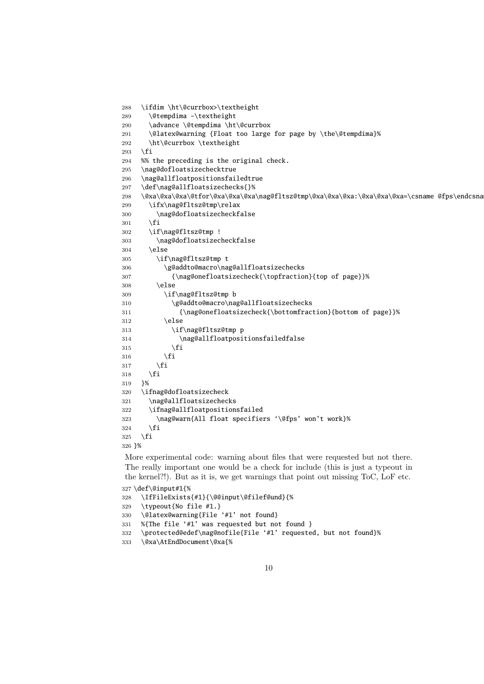```
288 \ifdim \ht\@currbox>\textheight
289 \@tempdima -\textheight
290 \advance \@tempdima \ht\@currbox
291 \@latex@warning {Float too large for page by \the\@tempdima}%
292 \ht\@currbox \textheight
293 \forallfi
294 %% the preceding is the original check.
295 \nag@dofloatsizechecktrue
296 \nag@allfloatpositionsfailedtrue
297 \def\nag@allfloatsizechecks{}%
298 \@xa\@xa\@xa\@tfor\@xa\@xa\@xa\nag@fltsz@tmp\@xa\@xa\@xa:\@xa\@xa\@xa=\csname @fps\endcsna
299 \ifx\nag@fltsz@tmp\relax
300 \nag@dofloatsizecheckfalse
301 \qquad \text{if}302 \if\nag@fltsz@tmp !
303 \nag@dofloatsizecheckfalse
304 \else
305 \if\nag@fltsz@tmp t
306 \g@addto@macro\nag@allfloatsizechecks
307 {\nag@onefloatsizecheck{\topfraction}{top of page}}%
308 \else
309 \if\nag@fltsz@tmp b
310 \g@addto@macro\nag@allfloatsizechecks
311 {\nag@onefloatsizecheck{\bottomfraction}{bottom of page}}%
312 \else
313 \if\nag@fltsz@tmp p
314 \nag@allfloatpositionsfailedfalse
315 \quad \text{If}316 \qquad \qquad \setminus fi317 \fi
318 \fi
319 }%
320 \ifnag@dofloatsizecheck
321 \nag@allfloatsizechecks
322 \ifnag@allfloatpositionsfailed
323 \nag@warn{All float specifiers '\@fps' won't work}%
324 \quad \text{f}325 \quad \text{fi}326 }%
```
More experimental code: warning about files that were requested but not there. The really important one would be a check for include (this is just a typeout in the kernel?!). But as it is, we get warnings that point out missing ToC, LoF etc.

```
327 \def\@input#1{%
328 \IfFileExists{#1}{\@@input\@filef@und}{%
329 \typeout{No file #1.}
330 \@latex@warning{File '#1' not found}
331 %{The file '#1' was requested but not found }
332 \protected@edef\nag@nofile{File '#1' requested, but not found}%
333 \@xa\AtEndDocument\@xa{%
```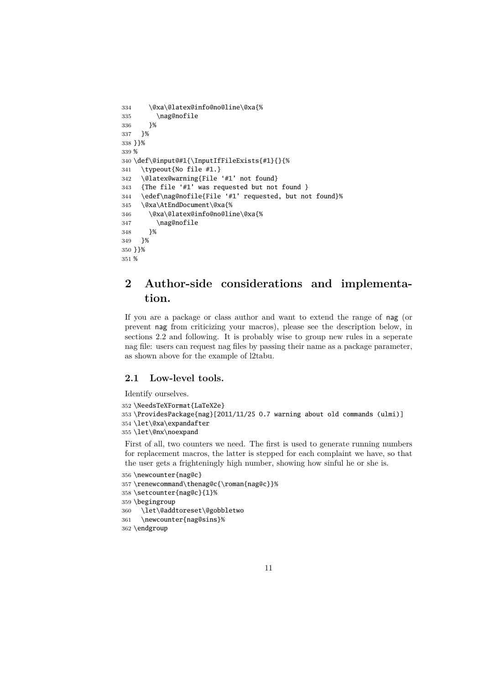```
334 \@xa\@latex@info@no@line\@xa{%
335 \nag@nofile
336 }%
337 }%
338 }}%
339 %
340 \def\@input@#1{\InputIfFileExists{#1}{}{%
341 \typeout{No file #1.}
342 \@latex@warning{File '#1' not found}
343 {The file '#1' was requested but not found }
344 \edef\nag@nofile{File '#1' requested, but not found}%
345 \@xa\AtEndDocument\@xa{%
346 \@xa\@latex@info@no@line\@xa{%
347 \nag@nofile
348 }%
349 }%
350 }}%
351 %
```
## **2 Author-side considerations and implementation.**

If you are a package or class author and want to extend the range of nag (or prevent nag from criticizing your macros), please see the description below, in sections 2.2 and following. It is probably wise to group new rules in a seperate nag file: users can request nag files by passing their name as a package parameter, as shown above for the example of l2tabu.

#### **2.1 Low-level tools.**

```
Identify ourselves.
352 \NeedsTeXFormat{LaTeX2e}
353 \ProvidesPackage{nag}[2011/11/25 0.7 warning about old commands (ulmi)]
354 \let\@xa\expandafter
355 \let\@nx\noexpand
```
First of all, two counters we need. The first is used to generate running numbers for replacement macros, the latter is stepped for each complaint we have, so that the user gets a frighteningly high number, showing how sinful he or she is.

```
356 \newcounter{nag@c}
357 \renewcommand\thenag@c{\roman{nag@c}}%
358 \setcounter{nag@c}{1}%
359 \begingroup
360 \let\@addtoreset\@gobbletwo
361 \newcounter{nag@sins}%
362 \endgroup
```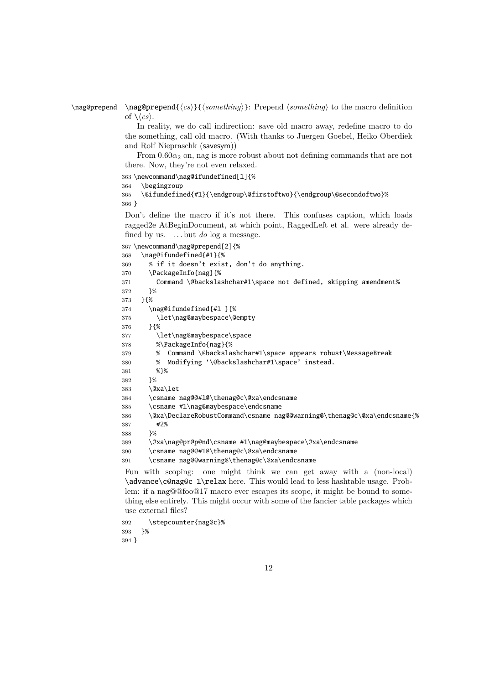#### \nag@prepend \nag@prepend{ $\csc{s}$ }{*(something*)}: Prepend *\something*} to the macro definition of  $\setminus \langle cs \rangle$ .

In reality, we do call indirection: save old macro away, redefine macro to do the something, call old macro. (With thanks to Juergen Goebel, Heiko Oberdiek and Rolf Niepraschk (savesym))

From  $0.60\alpha_2$  on, nag is more robust about not defining commands that are not there. Now, they're not even relaxed.

```
363 \newcommand\nag@ifundefined[1]{%
```

```
364 \begingroup
```

```
365 \@ifundefined{#1}{\endgroup\@firstoftwo}{\endgroup\@secondoftwo}%
366 }
```
Don't define the macro if it's not there. This confuses caption, which loads ragged2e AtBeginDocument, at which point, RaggedLeft et al. were already defined by us. . . . but *do* log a message.

```
367 \newcommand\nag@prepend[2]{%
```

```
368 \nag@ifundefined{#1}{%
369 % if it doesn't exist, don't do anything.
370 \PackageInfo{nag}{%
371 Command \@backslashchar#1\space not defined, skipping amendment%
372 }%
373 }{%
374 \nag@ifundefined{#1 }{%
375 \let\nag@maybespace\@empty
376 }{%
377 \let\nag@maybespace\space
378 %\PackageInfo{nag}{%
379 % Command \@backslashchar#1\space appears robust\MessageBreak
380 % Modifying '\@backslashchar#1\space' instead.
381 %}%
382 }%
383 \@xa\let
384 \csname nag@@#1@\thenag@c\@xa\endcsname
385 \csname #1\nag@maybespace\endcsname
386 \@xa\DeclareRobustCommand\csname nag@@warning@\thenag@c\@xa\endcsname{%
387 #2%
388 }%
389 \@xa\nag@pr@p@nd\csname #1\nag@maybespace\@xa\endcsname
390 \csname nag@@#1@\thenag@c\@xa\endcsname
391 \csname nag@@warning@\thenag@c\@xa\endcsname
```
Fun with scoping: one might think we can get away with a (non-local) \advance\c@nag@c 1\relax here. This would lead to less hashtable usage. Problem: if a nag@@foo@17 macro ever escapes its scope, it might be bound to something else entirely. This might occur with some of the fancier table packages which use external files?

 \stepcounter{nag@c}% }% }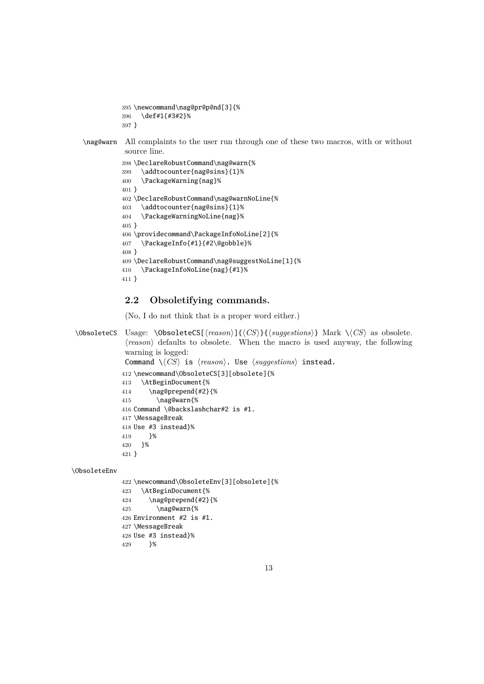```
395 \newcommand\nag@pr@p@nd[3]{%
396 \def#1{#3#2}%
397 }
```
\nag@warn All complaints to the user run through one of these two macros, with or without source line.

```
398 \DeclareRobustCommand\nag@warn{%
399 \addtocounter{nag@sins}{1}%
400 \PackageWarning{nag}%
401 }
402 \DeclareRobustCommand\nag@warnNoLine{%
403 \addtocounter{nag@sins}{1}%
404 \PackageWarningNoLine{nag}%
405 }
406 \providecommand\PackageInfoNoLine[2]{%
407 \PackageInfo{#1}{#2\@gobble}%
408 }
409 \DeclareRobustCommand\nag@suggestNoLine[1]{%
410 \PackageInfoNoLine{nag}{#1}%
411 }
```
### **2.2 Obsoletifying commands.**

(No, I do not think that is a proper word either.)

```
\ObsoleteCS Usage: \ObsoleteCS[\{reason\}]{\{CS\}}{\{suggestions\}} Mark \\langle CS \rangle as obsolete.
                \langle reason \rangle defaults to obsolete. When the macro is used anyway, the following
                warning is logged:
                Command \setminus \langle CS \rangle is \langle reason \rangle. Use \langle suggestions \rangle instead.
               412 \newcommand\ObsoleteCS[3][obsolete]{%
               413 \AtBeginDocument{%
               414 \nag@prepend{#2}{%
               415 \nag@warn{%
               416 Command \@backslashchar#2 is #1.
               417 \MessageBreak
               418 Use #3 instead}%
               419 }%
               420 }%
               421 }
\ObsoleteEnv
               422 \newcommand\ObsoleteEnv[3][obsolete]{%
```

```
423 \AtBeginDocument{%
424 \nag@prepend{#2}{%
425 \nag@warn{%
426 Environment #2 is #1.
427 \MessageBreak
428 Use #3 instead}%
429 }%
```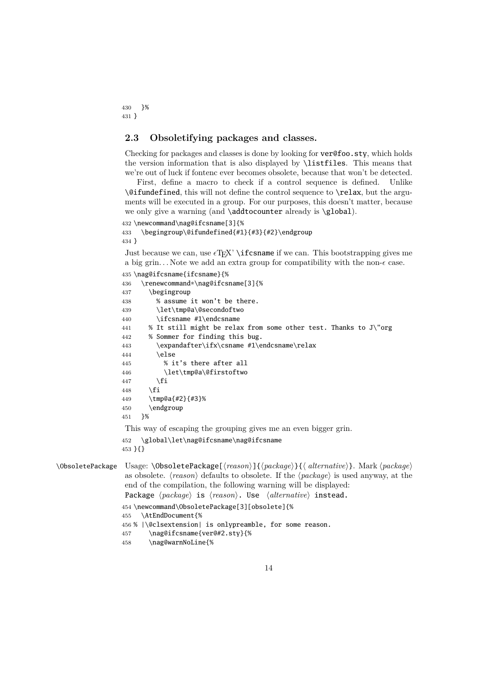}% }

### **2.3 Obsoletifying packages and classes.**

Checking for packages and classes is done by looking for ver@foo.sty, which holds the version information that is also displayed by \listfiles. This means that we're out of luck if fontenc ever becomes obsolete, because that won't be detected.

First, define a macro to check if a control sequence is defined. Unlike \@ifundefined, this will not define the control sequence to \relax, but the arguments will be executed in a group. For our purposes, this doesn't matter, because we only give a warning (and **\addtocounter** already is **\global**).

```
432 \newcommand\nag@ifcsname[3]{%
```

```
433 \begingroup\@ifundefined{#1}{#3}{#2}\endgroup
434 }
```
Just because we can, use  $\epsilon$ T<sub>EX</sub>' \ifferendiance if we can. This bootstrapping gives me a big grin...Note we add an extra group for compatibility with the non- $\epsilon$  case.

```
435 \nag@ifcsname{ifcsname}{%
436 \renewcommand*\nag@ifcsname[3]{%
437 \begingroup
438 % assume it won't be there.
439 \let\tmp@a\@secondoftwo
440 \ifcsname #1\endcsname
441 % It still might be relax from some other test. Thanks to J\"org
442 % Sommer for finding this bug.
443 \expandafter\ifx\csname #1\endcsname\relax
444 \else
445 % it's there after all
446 \let\tmp@a\@firstoftwo
447 \fi
448 \fi
449 \tmp@a{#2}{#3}%
450 \endgroup
451 }%
This way of escaping the grouping gives me an even bigger grin.
452 \global\let\nag@ifcsname\nag@ifcsname
453 }{}
```

```
\ObsoletePackage Usage: \ObsoletePackage[\{reason\}]{\{package\}}{\{ alternative\}. Mark \{package\}as obsolete. \langle reason \rangle defaults to obsolete. If the \langle package \rangle is used anyway, at the
                       end of the compilation, the following warning will be displayed:
                       Package \langle package \rangle is \langle reason \rangle. Use \langle alternative \rangle instead.
```
\newcommand\ObsoletePackage[3][obsolete]{%

```
455 \AtEndDocument{%
```
- % |\@clsextension| is onlypreamble, for some reason.
- \nag@ifcsname{ver@#2.sty}{%
- \nag@warnNoLine{%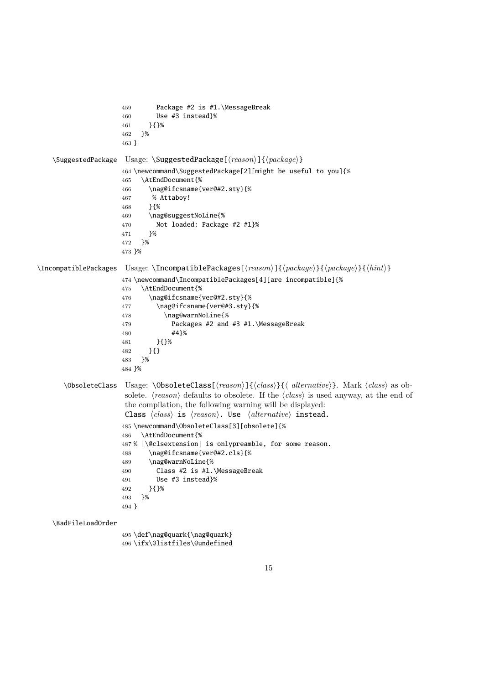```
459 Package #2 is #1.\MessageBreak
                      460 Use #3 instead}%
                      461 }{}%
                      462 }%
                      463 }
   \SuggestedPackage Usage: \SuggestedPackage[\{reason\}]{\{package\}}
                      464 \newcommand\SuggestedPackage[2][might be useful to you]{%
                      465 \AtEndDocument{%
                      466 \nag@ifcsname{ver@#2.sty}{%
                      467 % Attaboy!
                      468 }{%
                      469 \nag@suggestNoLine{%
                      470 Not loaded: Package #2 #1}%
                      471 \frac{1}{8}472 }%
                      473 }%
\IncompatiblePackages Usage: \IncompatiblePackages[\reason)]{\package}}{\package}}{\hint\}
                      474 \newcommand\IncompatiblePackages[4][are incompatible]{%
                      475 \AtEndDocument{%
                      476 \nag@ifcsname{ver@#2.sty}{%
                      477 \nag@ifcsname{ver@#3.sty}{%
                      478 \nag@warnNoLine{%
                      479 Packages #2 and #3 #1.\MessageBreak
                      480 #4}%
                      481 }{}%
                      482 }{}
                      483 }%
                      484 }%
       \ObsoleteClass Usage: \ObsoleteClass[\{reason\}]{\{class\}}{\{ alternative}}. Mark \{class\} as ob-
                       solete. \langle reason \rangle defaults to obsolete. If the \langle class \rangle is used anyway, at the end of
                       the compilation, the following warning will be displayed:
                       Class \langle class \rangle is \langle reason \rangle. Use \langle alternative \rangle instead.
                      485 \newcommand\ObsoleteClass[3][obsolete]{%
                      486 \AtEndDocument{%
                      487 % |\@clsextension| is onlypreamble, for some reason.
                      488 \nag@ifcsname{ver@#2.cls}{%
                      489 \nag@warnNoLine{%
                      490 Class #2 is #1.\MessageBreak
                      491 Use #3 instead}%
                      492 }{}%
                      493 }%
                      494 }
   \BadFileLoadOrder
                      495 \def\nag@quark{\nag@quark}
                      496 \ifx\@listfiles\@undefined
```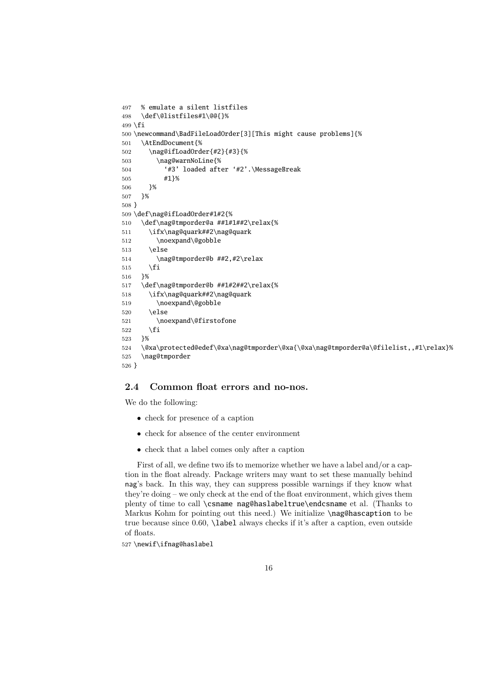```
497 % emulate a silent listfiles
498 \def\@listfiles#1\@@{}%
499 \fi
500 \newcommand\BadFileLoadOrder[3][This might cause problems]{%
501 \AtEndDocument{%
502 \nag@ifLoadOrder{#2}{#3}{%
503 \nag@warnNoLine{%
504 '#3' loaded after '#2'.\MessageBreak
505 #1}%
506 }%
507 }%
508 }
509 \def\nag@ifLoadOrder#1#2{%
510 \def\nag@tmporder@a ##1#1##2\relax{%
511 \ifx\nag@quark##2\nag@quark
512 \noexpand\@gobble
513 \else
514 \nag@tmporder@b ##2,#2\relax
515 \fi
516 }%
517 \def\nag@tmporder@b ##1#2##2\relax{%
518 \ifx\nag@quark##2\nag@quark
519 \noexpand\@gobble
520 \else
521 \noexpand\@firstofone
522 \quad \forall \text{fi}523 }%
524 \@xa\protected@edef\@xa\nag@tmporder\@xa{\@xa\nag@tmporder@a\@filelist,,#1\relax}%
525 \nag@tmporder
526 }
```
### **2.4 Common float errors and no-nos.**

We do the following:

- check for presence of a caption
- check for absence of the center environment
- check that a label comes only after a caption

First of all, we define two ifs to memorize whether we have a label and/or a caption in the float already. Package writers may want to set these manually behind nag's back. In this way, they can suppress possible warnings if they know what they're doing – we only check at the end of the float environment, which gives them plenty of time to call \csname nag@haslabeltrue\endcsname et al. (Thanks to Markus Kohm for pointing out this need.) We initialize **\nag@hascaption** to be true because since 0.60, \label always checks if it's after a caption, even outside of floats.

\newif\ifnag@haslabel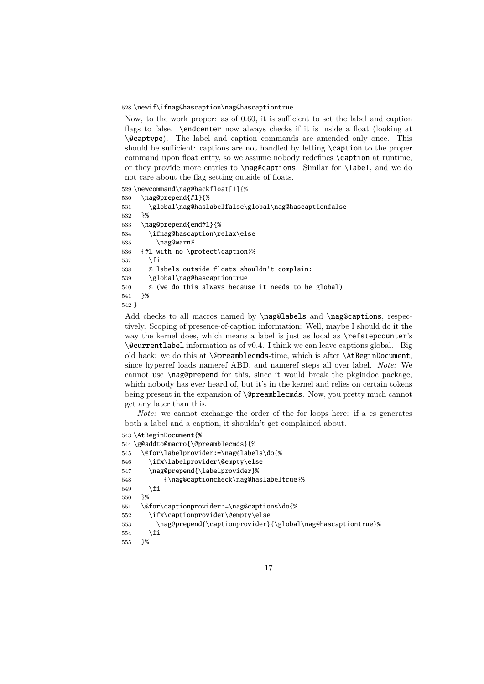528 \newif\ifnag@hascaption\nag@hascaptiontrue

Now, to the work proper: as of 0.60, it is sufficient to set the label and caption flags to false. \endcenter now always checks if it is inside a float (looking at \@captype). The label and caption commands are amended only once. This should be sufficient: captions are not handled by letting \caption to the proper command upon float entry, so we assume nobody redefines **\caption** at runtime, or they provide more entries to \nag@captions. Similar for \label, and we do not care about the flag setting outside of floats.

```
529 \newcommand\nag@hackfloat[1]{%
530 \nag@prepend{#1}{%
531 \global\nag@haslabelfalse\global\nag@hascaptionfalse
532 }%
533 \nag@prepend{end#1}{%
534 \ifnag@hascaption\relax\else
535 \nag@warn%
536 {#1 with no \protect\caption}%
537 \quad \text{if}538 % labels outside floats shouldn't complain:
539 \global\nag@hascaptiontrue
540 % (we do this always because it needs to be global)
541 }%
542 }
```
Add checks to all macros named by **\nag@labels** and **\nag@captions**, respectively. Scoping of presence-of-caption information: Well, maybe I should do it the way the kernel does, which means a label is just as local as \refstepcounter's \@currentlabel information as of v0.4. I think we can leave captions global. Big old hack: we do this at \@preamblecmds-time, which is after \AtBeginDocument, since hyperref loads nameref ABD, and nameref steps all over label. *Note:* We cannot use \nag@prepend for this, since it would break the pkgindoc package, which nobody has ever heard of, but it's in the kernel and relies on certain tokens being present in the expansion of **\@preamblecmds**. Now, you pretty much cannot get any later than this.

*Note:* we cannot exchange the order of the for loops here: if a cs generates both a label and a caption, it shouldn't get complained about.

```
543 \AtBeginDocument{%
544 \g@addto@macro{\@preamblecmds}{%
545 \@for\labelprovider:=\nag@labels\do{%
546 \ifx\labelprovider\@empty\else
547 \nag@prepend{\labelprovider}%
548 {\nag@captioncheck\nag@haslabeltrue}%
549 \fi
550 }%
551 \@for\captionprovider:=\nag@captions\do{%
552 \ifx\captionprovider\@empty\else
553 \nag@prepend{\captionprovider}{\global\nag@hascaptiontrue}%
554 \quad \text{If}555 }%
```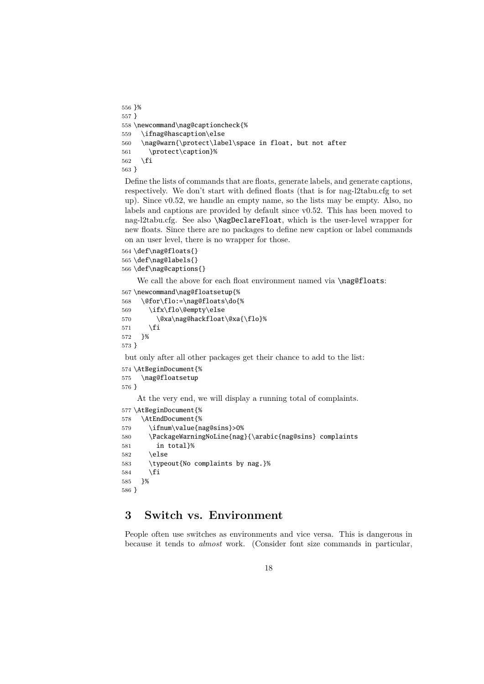```
556 }%
557 }
558 \newcommand\nag@captioncheck{%
559 \ifnag@hascaption\else
560 \nag@warn{\protect\label\space in float, but not after
561 \protect\caption}%
562 \fi
563 }
```
Define the lists of commands that are floats, generate labels, and generate captions, respectively. We don't start with defined floats (that is for nag-l2tabu.cfg to set up). Since v0.52, we handle an empty name, so the lists may be empty. Also, no labels and captions are provided by default since v0.52. This has been moved to nag-l2tabu.cfg. See also \NagDeclareFloat, which is the user-level wrapper for new floats. Since there are no packages to define new caption or label commands on an user level, there is no wrapper for those.

```
564 \def\nag@floats{}
565 \def\nag@labels{}
566 \def\nag@captions{}
```
We call the above for each float environment named via \nag@floats:

```
567 \newcommand\nag@floatsetup{%
568 \@for\flo:=\nag@floats\do{%
569 \ifx\flo\@empty\else
570 \@xa\nag@hackfloat\@xa{\flo}%
571 \fi
572 }%
573 }
but only after all other packages get their chance to add to the list:
574 \AtBeginDocument{%
```

```
575 \nag@floatsetup
576 }
    At the very end, we will display a running total of complaints.
577 \AtBeginDocument{%
578 \AtEndDocument{%
579 \ifnum\value{nag@sins}>0%
580 \PackageWarningNoLine{nag}{\arabic{nag@sins} complaints
581 in total}%
582 \else
583 \typeout{No complaints by nag.}%
584 \fi
585 }%
586 }
```
## **3 Switch vs. Environment**

People often use switches as environments and vice versa. This is dangerous in because it tends to *almost* work. (Consider font size commands in particular,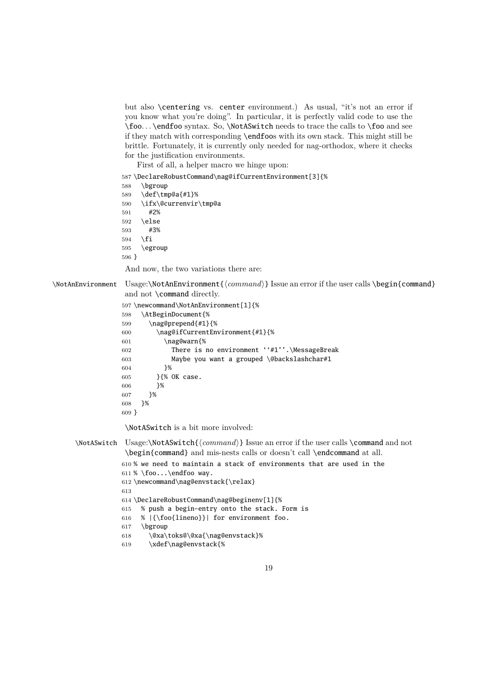but also \centering vs. center environment.) As usual, "it's not an error if you know what you're doing". In particular, it is perfectly valid code to use the \foo. . . \endfoo syntax. So, \NotASwitch needs to trace the calls to \foo and see if they match with corresponding \endfoos with its own stack. This might still be brittle. Fortunately, it is currently only needed for nag-orthodox, where it checks for the justification environments.

First of all, a helper macro we hinge upon:

 \DeclareRobustCommand\nag@ifCurrentEnvironment[3]{% \bgroup \def\tmp@a{#1}% \ifx\@currenvir\tmp@a #2% \else #3% \fi \egroup } And now, the two variations there are:

```
\NotAnEnvironment Usage:\NotAnEnvironment{\langle command \rangle} Issue an error if the user calls \begin{command}
```

```
and not \command directly.
597 \newcommand\NotAnEnvironment[1]{%
598 \AtBeginDocument{%
599 \nag@prepend{#1}{%
600 \nag@ifCurrentEnvironment{#1}{%
601 \nag@warn{%
602 There is no environment ''#1''.\MessageBreak
603 Maybe you want a grouped \@backslashchar#1
604 }%
605 }{% OK case.
606 }%
607 }%
608 }%
609 }
```
\NotASwitch is a bit more involved:

\NotASwitch Usage:\NotASwitch{h*command*i} Issue an error if the user calls \command and not \begin{command} and mis-nests calls or doesn't call \endcommand at all.

```
610 % we need to maintain a stack of environments that are used in the
611 % \foo...\endfoo way.
612 \newcommand\nag@envstack{\relax}
613
614 \DeclareRobustCommand\nag@beginenv[1]{%
615 % push a begin-entry onto the stack. Form is
616 % |{\foo{lineno}}| for environment foo.
617 \bgroup
618 \@xa\toks@\@xa{\nag@envstack}%
619 \xdef\nag@envstack{%
```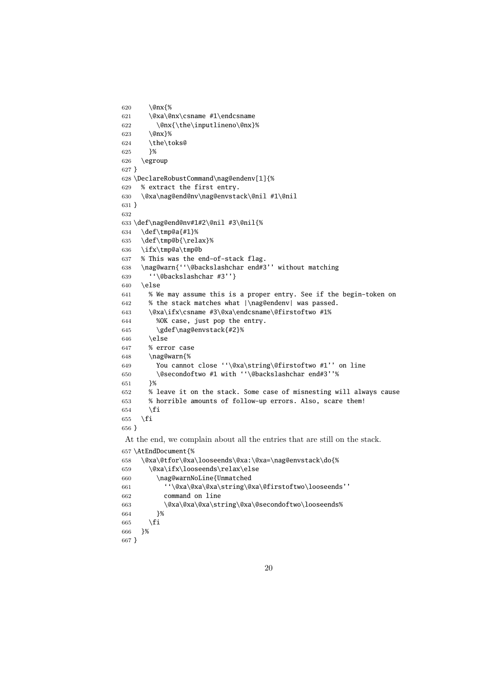```
620 \@nx{%
621 \@xa\@nx\csname #1\endcsname
622 \@nx{\the\inputlineno\@nx}%
623 \@nx}%
624 \the\toks@
625 }%
626 \egroup
627 }
628 \DeclareRobustCommand\nag@endenv[1]{%
629 % extract the first entry.
630 \@xa\nag@end@nv\nag@envstack\@nil #1\@nil
631 }
632
633 \def\nag@end@nv#1#2\@nil #3\@nil{%
634 \def\tmp@a{#1}%
635 \def\tmp@b{\relax}%
636 \ifx\tmp@a\tmp@b
637 % This was the end-of-stack flag.
638 \nag@warn{''\@backslashchar end#3'' without matching
639 ''\@backslashchar #3''}
640 \else
641 % We may assume this is a proper entry. See if the begin-token on
642 % the stack matches what |\nag@endenv| was passed.
643 \@xa\ifx\csname #3\@xa\endcsname\@firstoftwo #1%
644 %OK case, just pop the entry.
645 \gdef\nag@envstack{#2}%
646 \else
647 % error case
648 \nag@warn{%
649 You cannot close ''\@xa\string\@firstoftwo #1'' on line
650 \@secondoftwo #1 with ''\@backslashchar end#3''%
651 }%
652 % leave it on the stack. Some case of misnesting will always cause
653 % horrible amounts of follow-up errors. Also, scare them!
654 \fi
655 \fi
656 }
At the end, we complain about all the entries that are still on the stack.
657 \AtEndDocument{%
658 \@xa\@tfor\@xa\looseends\@xa:\@xa=\nag@envstack\do{%
659 \@xa\ifx\looseends\relax\else
660 \nag@warnNoLine{Unmatched
661 ''\@xa\@xa\@xa\string\@xa\@firstoftwo\looseends''
662 command on line
663 \@xa\@xa\@xa\string\@xa\@secondoftwo\looseends%
```

```
666 }%
```
 }% \fi

```
667 }
```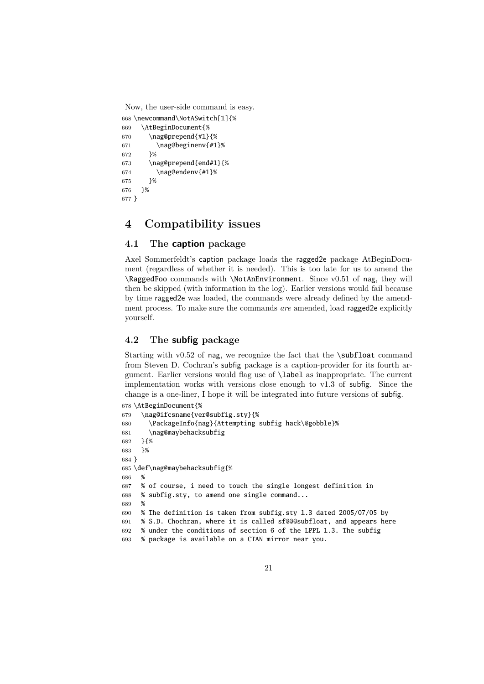```
Now, the user-side command is easy.
668 \newcommand\NotASwitch[1]{%
669 \AtBeginDocument{%
670 \nag@prepend{#1}{%
671 \nag@beginenv{#1}%
672 }%
673 \nag@prepend{end#1}{%
674 \nag@endenv{#1}%
675 }%
676 }%
677 }
```
### **4 Compatibility issues**

### **4.1 The caption package**

Axel Sommerfeldt's caption package loads the ragged2e package AtBeginDocument (regardless of whether it is needed). This is too late for us to amend the \RaggedFoo commands with \NotAnEnvironment. Since v0.51 of nag, they will then be skipped (with information in the log). Earlier versions would fail because by time ragged2e was loaded, the commands were already defined by the amendment process. To make sure the commands *are* amended, load ragged2e explicitly yourself.

#### **4.2 The subfig package**

Starting with v0.52 of nag, we recognize the fact that the  $\sub{subfloat}$  command from Steven D. Cochran's subfig package is a caption-provider for its fourth argument. Earlier versions would flag use of \label as inappropriate. The current implementation works with versions close enough to v1.3 of subfig. Since the change is a one-liner, I hope it will be integrated into future versions of subfig.

```
678 \AtBeginDocument{%
679 \nag@ifcsname{ver@subfig.sty}{%
680 \PackageInfo{nag}{Attempting subfig hack\@gobble}%
681 \nag@maybehacksubfig
682 }{%
683 }%
684 }
685 \def\nag@maybehacksubfig{%
686 %
687 % of course, i need to touch the single longest definition in
688 % subfig.sty, to amend one single command...
689 %
690 % The definition is taken from subfig.sty 1.3 dated 2005/07/05 by
691 % S.D. Chochran, where it is called sf@@@subfloat, and appears here
692 % under the conditions of section 6 of the LPPL 1.3. The subfig
693 % package is available on a CTAN mirror near you.
```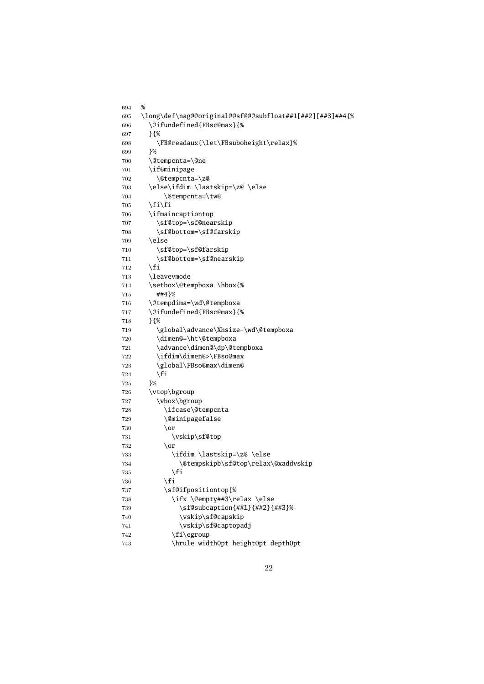```
694 %
695 \long\def\nag@@original@@sf@@@subfloat##1[##2][##3]##4{%
696 \@ifundefined{FBsc@max}{%
697 }{%
698 \FB@readaux{\let\FBsuboheight\relax}%
699 }%
700 \@tempcnta=\@ne
701 \if@minipage
702 \@tempcnta=\z@
703 \else\ifdim \lastskip=\z@ \else
704 \@tempcnta=\tw@
705 \ifmmode \text{if}_i\else \tilfi
706 \ifmaincaptiontop
707 \sf@top=\sf@nearskip
708 \sf@bottom=\sf@farskip
709 \else
710 \sf@top=\sf@farskip
711 \sf@bottom=\sf@nearskip
712 \fi
713 \leavevmode
714 \setbox\@tempboxa \hbox{%
715 ##4}%
716 \@tempdima=\wd\@tempboxa
717 \@ifundefined{FBsc@max}{%
718 }{%
719 \global\advance\Xhsize-\wd\@tempboxa
720 \dimen@=\ht\@tempboxa
721 \advance\dimen@\dp\@tempboxa
722 \ifdim\dimen@>\FBso@max
723 \global\FBso@max\dimen@
724 \overline{\phantom{a}} \fi
725 }%
726 \vtop\bgroup
727 \vbox\bgroup
728 \ifcase\@tempcnta
729 \@minipagefalse
730 \over \text{or}731 \vskip\sf@top
732 \or
733 \ifdim \lastskip=\z@ \else
734 \@tempskipb\sf@top\relax\@xaddvskip
735 \fi
736 \fi
737 \sf@ifpositiontop{%
738 \ifx \@empty##3\relax \else
739 \sf@subcaption{##1}{##2}{##3}%
740 \vskip\sf@capskip
741 \vskip\sf@captopadj
742 \fi\egroup
743 \hrule width0pt height0pt depth0pt
```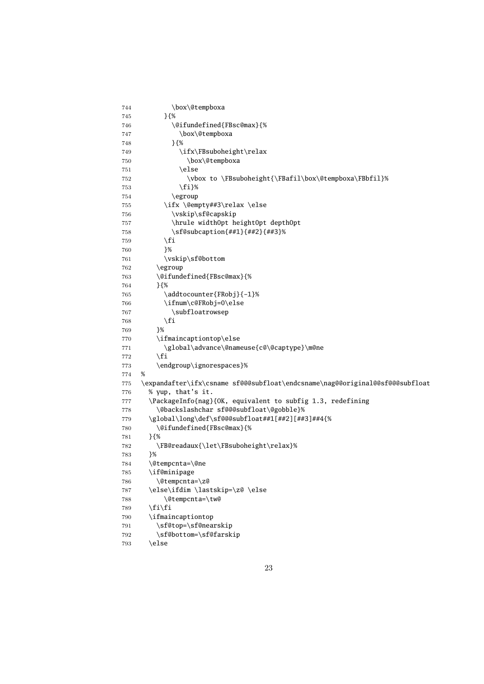```
744 \box\@tempboxa
745 }{%
746 \@ifundefined{FBsc@max}{%
747 \box\@tempboxa
748 }{%
749 \ifx\FBsuboheight\relax
750 \box\@tempboxa
751 \else
752 \vbox to \FBsuboheight{\FBafil\box\@tempboxa\FBbfil}%
753 \quad \text{if} \quad \text{if} \quad \text{if} \quad \text{if} \quad \text{if} \quad \text{if} \quad \text{if} \quad \text{if} \quad \text{if} \quad \text{if} \quad \text{if} \quad \text{if} \quad \text{if} \quad \text{if} \quad \text{if} \quad \text{if} \quad \text{if} \quad \text{if} \quad \text{if} \quad \text{if} \quad \text{if} \quad \text{if} \quad \text{if} \quad \text{if} \quad \text{if} \quad \text{if} \quad \text{if} \quad \text{if} \quad \text{if} \quad \text{if} \quad \text{if}754 \egroup
755 \ifx \@empty##3\relax \else
756 \vskip\sf@capskip
757 \hrule width0pt height0pt depth0pt
758 \sf@subcaption{##1}{##2}{##3}%
759 \fi
760 }%
761 \vskip\sf@bottom
762 \egroup
763 \@ifundefined{FBsc@max}{%
764 }{%
765 \addtocounter{FRobj}{-1}%
766 \ifnum\c@FRobj=0\else
767 \subfloatrowsep
768 \setminusfi
769 }%
770 \ifmaincaptiontop\else
771 \global\advance\@nameuse{c@\@captype}\m@ne
772 \qquad \text{ifi}773 \endgroup\ignorespaces}%
774 %
775 \expandafter\ifx\csname sf@@@subfloat\endcsname\nag@@original@@sf@@@subfloat
776 % yup, that's it.
777 \PackageInfo{nag}{OK, equivalent to subfig 1.3, redefining
778 \@backslashchar sf@@@subfloat\@gobble}%
779 \global\long\def\sf@@@subfloat##1[##2][##3]##4{%
780 \@ifundefined{FBsc@max}{%
781 }{%
782 \FB@readaux{\let\FBsuboheight\relax}%
783 }%
784 \@tempcnta=\@ne
785 \if@minipage
786 \@tempcnta=\z@
787 \else\ifdim \lastskip=\z@ \else
788 \@tempcnta=\tw@
789 \ifmmode \text{if}_i \else \tilfi
790 \ifmaincaptiontop
791 \sf@top=\sf@nearskip
792 \sf@bottom=\sf@farskip
793 \else
```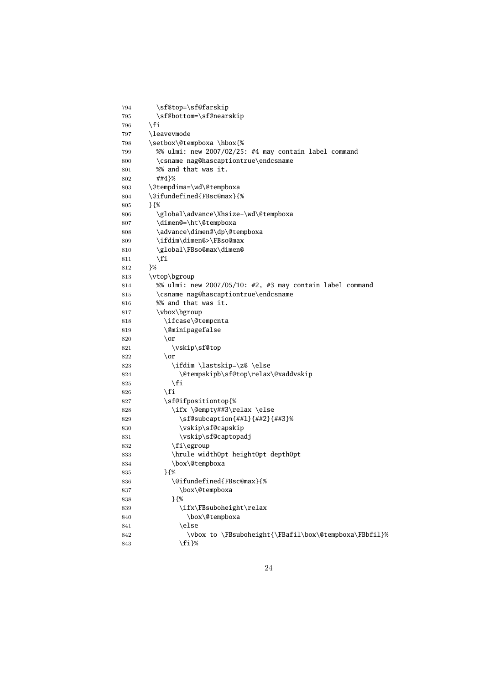```
794 \sf@top=\sf@farskip
795 \sf@bottom=\sf@nearskip
796 \setminusfi
797 \leavevmode
798 \setbox\@tempboxa \hbox{%
799 %% ulmi: new 2007/02/25: #4 may contain label command
800 \csname nag@hascaptiontrue\endcsname
801 %% and that was it.
802 ##4}%
803 \@tempdima=\wd\@tempboxa
804 \@ifundefined{FBsc@max}{%
805 }{%
806 \global\advance\Xhsize-\wd\@tempboxa
807 \dimen@=\ht\@tempboxa
808 \advance\dimen@\dp\@tempboxa
809 \ifdim\dimen@>\FBso@max
810 \global\FBso@max\dimen@
811 \fi
812 }%
813 \vtop\bgroup
814 %% ulmi: new 2007/05/10: #2, #3 may contain label command
815 \csname nag@hascaptiontrue\endcsname
816 %% and that was it.
817 \vbox\bgroup
818 \ifcase\@tempcnta
819 \@minipagefalse
820 \overline{\arctan}821 \vskip\sf@top
822 \over \text{or}823 \ifdim \lastskip=\z@ \else
824 \@tempskipb\sf@top\relax\@xaddvskip
825 \fi
826 \fi
827 \sf@ifpositiontop{%
828 \ifx \@empty##3\relax \else
829 \sf@subcaption{##1}{##2}{##3}%
830 \vskip\sf@capskip
831 \vskip\sf@captopadj
832 \fi\egroup
833 \hrule width0pt height0pt depth0pt
834 \box\@tempboxa
835 }{%
836 \@ifundefined{FBsc@max}{%
837 \box\@tempboxa
838 }{%
839 \ifx\FBsuboheight\relax
840 \box\@tempboxa
841 \else
842 \vbox to \FBsuboheight{\FBafil\box\@tempboxa\FBbfil}%
843 \fi}%
```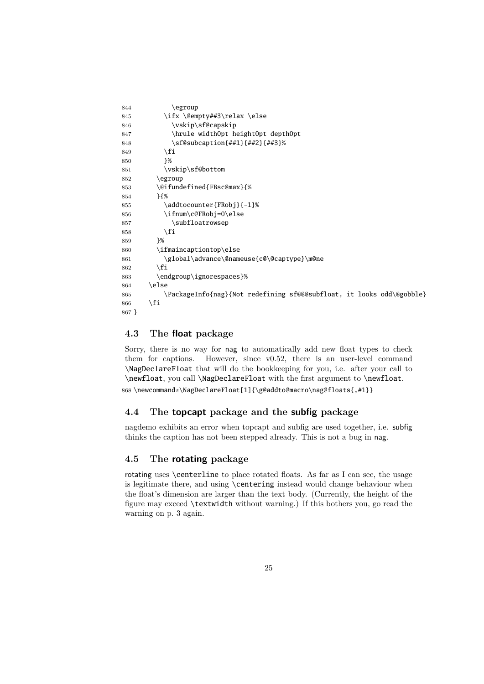| 844     | \egroup                                                               |
|---------|-----------------------------------------------------------------------|
| 845     | \ifx \@empty##3\relax \else                                           |
| 846     | \vskip\sf@capskip                                                     |
| 847     | \hrule width0pt height0pt depth0pt                                    |
| 848     | \sf@subcaption{##1}{##2}{##3}%                                        |
| 849     | \fi                                                                   |
| 850     | $\frac{1}{6}$                                                         |
| 851     | \vskip\sf@bottom                                                      |
| 852     | \egroup                                                               |
| 853     | \@ifundefined{FBsc@max}{%                                             |
| 854     | ~35%                                                                  |
| 855     | \addtocounter{FRobj}{-1}%                                             |
| 856     | \ifnum\c@FRobj=0\else                                                 |
| 857     | \subfloatrowsep                                                       |
| 858     | \fi                                                                   |
| 859     | }%                                                                    |
| 860     | \ifmaincaptiontop\else                                                |
| 861     | \global\advance\@nameuse{c@\@captype}\m@ne                            |
| 862     | \fi                                                                   |
| 863     | \endgroup\ignorespaces}%                                              |
| 864     | \else                                                                 |
| 865     | \PackageInfo{nag}{Not redefining sf@@@subfloat, it looks odd\@gobble} |
| 866     | \fi                                                                   |
| $867$ } |                                                                       |

#### **4.3 The float package**

Sorry, there is no way for nag to automatically add new float types to check them for captions. However, since v0.52, there is an user-level command \NagDeclareFloat that will do the bookkeeping for you, i.e. after your call to \newfloat, you call \NagDeclareFloat with the first argument to \newfloat. \newcommand\*\NagDeclareFloat[1]{\g@addto@macro\nag@floats{,#1}}

### **4.4 The topcapt package and the subfig package**

nagdemo exhibits an error when topcapt and subfig are used together, i.e. subfig thinks the caption has not been stepped already. This is not a bug in nag.

### **4.5 The rotating package**

rotating uses \centerline to place rotated floats. As far as I can see, the usage is legitimate there, and using **\centering** instead would change behaviour when the float's dimension are larger than the text body. (Currently, the height of the figure may exceed \textwidth without warning.) If this bothers you, go read the warning on p. 3 again.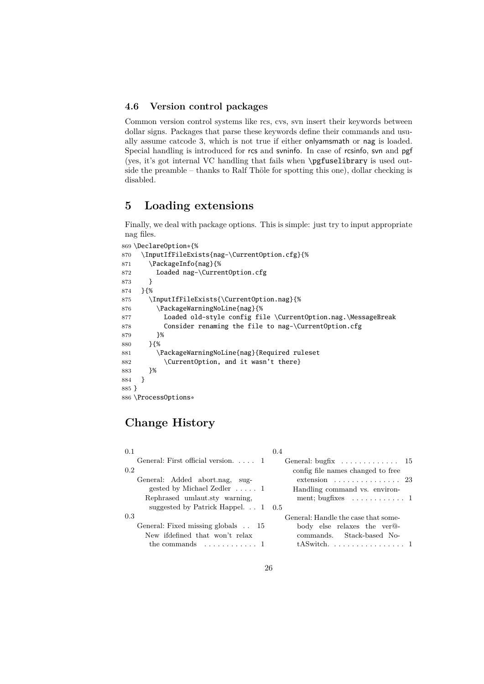### **4.6 Version control packages**

Common version control systems like rcs, cvs, svn insert their keywords between dollar signs. Packages that parse these keywords define their commands and usually assume catcode 3, which is not true if either onlyamsmath or nag is loaded. Special handling is introduced for rcs and svninfo. In case of rcsinfo, svn and pgf (yes, it's got internal VC handling that fails when \pgfuselibrary is used outside the preamble – thanks to Ralf Thöle for spotting this one), dollar checking is disabled.

## **5 Loading extensions**

Finally, we deal with package options. This is simple: just try to input appropriate nag files.

|         | 869 \DeclareOption*{%                                         |
|---------|---------------------------------------------------------------|
| 870     | \InputIfFileExists{nag-\CurrentOption.cfg}{%                  |
| 871     | \PackageInfo{nag}{%                                           |
| 872     | Loaded $nag-\CurrentOption.cfg$                               |
| 873     | ł                                                             |
| 874     | 35%                                                           |
| 875     | \InputIfFileExists{\CurrentOption.nag}{%                      |
| 876     | \PackageWarningNoLine{nag}{%                                  |
| 877     | Loaded old-style config file \CurrentOption.nag.\MessageBreak |
| 878     | Consider renaming the file to nag-\CurrentOption.cfg          |
| 879     | }%                                                            |
| 880     | 35%                                                           |
| 881     | \PackageWarningNoLine{nag}{Required ruleset                   |
| 882     | \CurrentOption, and it wasn't there}                          |
| 883     | }%                                                            |
| 884     | ł                                                             |
| $885$ } |                                                               |
|         | 886 \ProcessOptions*                                          |

## **Change History**

| 0.1                                         | 0.4                                                |
|---------------------------------------------|----------------------------------------------------|
| General: First official version.  1         | General: bugfix $\dots \dots \dots \dots \dots$ 15 |
| 0.2                                         | config file names changed to free                  |
| General: Added abort.nag, sug-              | extension $\ldots \ldots \ldots \ldots 23$         |
| gested by Michael Zedler $\dots$ 1          | Handling command vs. environ-                      |
| Rephrased umlaut.sty warning,               | ment; bugfixes $\dots \dots \dots \dots \dots$     |
| suggested by Patrick Happel. $\ldots$ 1 0.5 |                                                    |
| 0.3                                         | General: Handle the case that some-                |
| General: Fixed missing globals . 15         | body else relaxes the ver <sup><i>Q</i></sup> -    |
| New ifdefined that won't relax              | commands. Stack-based No-                          |
| the commands $\dots\dots\dots\dots\dots$    |                                                    |
|                                             |                                                    |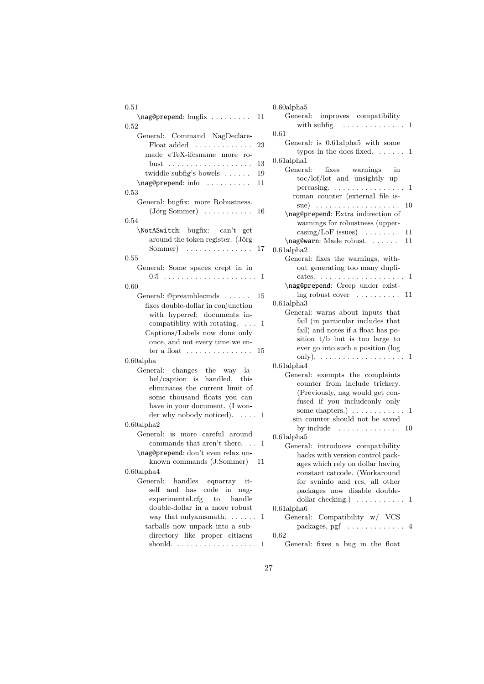| 0.51                                                                           |    | 0              |
|--------------------------------------------------------------------------------|----|----------------|
| \nag@prepend: bugfix                                                           | 11 |                |
| 0.52                                                                           |    |                |
| General: Command NagDeclare-                                                   |    | 0              |
| Float added                                                                    | 23 |                |
| made eTeX-ifcsname more ro-                                                    |    |                |
|                                                                                | 13 | 0              |
| twiddle subfig's bowels                                                        | 19 |                |
| \nag@prepend: info                                                             | 11 |                |
| 0.53                                                                           |    |                |
| General: bugfix: more Robustness.                                              |    |                |
| $(\text{Jörg Sommer}) \dots \dots \dots \dots$                                 | 16 |                |
| 0.54                                                                           |    |                |
| \NotASwitch: bugfix: can't get                                                 |    |                |
| around the token register. (Jörg                                               |    |                |
| Sommer) $\ldots \ldots \ldots \ldots 17$                                       |    | $\overline{0}$ |
| 0.55                                                                           |    |                |
| General: Some spaces crept in in                                               |    |                |
|                                                                                |    |                |
| 0.60                                                                           |    |                |
| General: @preamblecmds                                                         | 15 | 0              |
| fixes double-dollar in conjunction                                             |    |                |
| with hyperref; documents in-                                                   |    |                |
| compatiblity with rotating. $\dots$                                            | 1  |                |
| Captions/Labels now done only                                                  |    |                |
| once, and not every time we en-<br>$ter a float \dots \dots \dots \dots \dots$ |    |                |
|                                                                                | 15 |                |
| $0.60$ alpha                                                                   |    | 0              |
| General: changes the way la-<br>bel/caption is handled, this                   |    |                |
| eliminates the current limit of                                                |    |                |
| some thousand floats you can                                                   |    |                |
| have in your document. (I won-                                                 |    |                |
| der why nobody noticed). $\dots$                                               | 1  |                |
| $0.60$ alpha $2$                                                               |    |                |
| General: is more careful around                                                |    |                |
| commands that aren't there                                                     | 1  | $\overline{0}$ |
| \nag@prepend: don't even relax un-                                             |    |                |
| known commands (J.Sommer)                                                      | 11 |                |
| $0.60$ alpha $4$                                                               |    |                |
| General:<br>handles<br>eqnarray<br>it-                                         |    |                |
| self<br>has code<br>and<br>in<br>nag-                                          |    |                |
| experimental.cfg<br>to<br>handle                                               |    |                |
| double-dollar in a more robust                                                 |    | 0              |
| way that only amsmath. $\dots$ .                                               | 1  |                |
| tarballs now unpack into a sub-                                                |    |                |
| directory like proper citizens                                                 |    | 0              |

 $should. \ldots \ldots \ldots \ldots \ldots 1$ 

| $0.60$ alpha $5$                                                                                      |
|-------------------------------------------------------------------------------------------------------|
| General: improves compatibility                                                                       |
| with subfig.<br>. 1                                                                                   |
| 0.61                                                                                                  |
| General: is 0.61alpha5 with some                                                                      |
| typos in the docs fixed. $\dots$ 1                                                                    |
| $0.61$ alpha $1$                                                                                      |
| General:<br>fixes warnings<br>in                                                                      |
| toc/lof/lot and unsightly up-                                                                         |
| percasing. $\dots \dots \dots \dots \dots \dots$                                                      |
| roman counter (external file is-                                                                      |
| 10                                                                                                    |
| \nag@prepend: Extra indirection of                                                                    |
| warnings for robustness (upper-                                                                       |
| $\text{casing/LoF}$ issues) $\ldots \ldots$<br>11                                                     |
| \nag@warn: Made robust.<br>11                                                                         |
| $0.61$ alpha $2$                                                                                      |
| General: fixes the warnings, with-                                                                    |
| out generating too many dupli-                                                                        |
| . 1<br>cates.                                                                                         |
| \nag@prepend: Creep under exist-                                                                      |
| ing robust cover $\dots \dots \dots 11$                                                               |
| $0.61$ alpha $3$                                                                                      |
| General: warns about inputs that                                                                      |
| fail (in particular includes that                                                                     |
| fail) and notes if a float has po-                                                                    |
| sition $t/b$ but is too large to                                                                      |
| ever go into such a position (log                                                                     |
| only). $\ldots \ldots \ldots \ldots \ldots \ldots \ldots 1$                                           |
| $0.61$ alpha $4$                                                                                      |
| General: exempts the complaints<br>counter from include trickery.                                     |
| (Previously, nag would get con-                                                                       |
| fused if you include<br>only only                                                                     |
| some chapters.) $\dots \dots \dots \dots$ 1                                                           |
| sin counter should not be saved                                                                       |
| by include $\dots \dots \dots \dots \dots 10$                                                         |
| $0.61$ alpha $5$                                                                                      |
| General: introduces compatibility                                                                     |
| hacks with version control pack-                                                                      |
| ages which rely on dollar having                                                                      |
| constant catcode. (Workaround                                                                         |
| for svninfo and rcs, all other                                                                        |
| packages now disable double-                                                                          |
| dollar checking.)<br>1<br>$\ddot{\phantom{0}}$<br>$\mathcal{L}$ . The set of the set of $\mathcal{L}$ |
| $0.61$ alpha $6$                                                                                      |
| Compatibility w/ VCS<br>General:                                                                      |
| packages, pgf<br>4<br>$\sim$<br>$\sim$ $\sim$                                                         |
| 0.62                                                                                                  |
|                                                                                                       |

General: fixes a bug in the float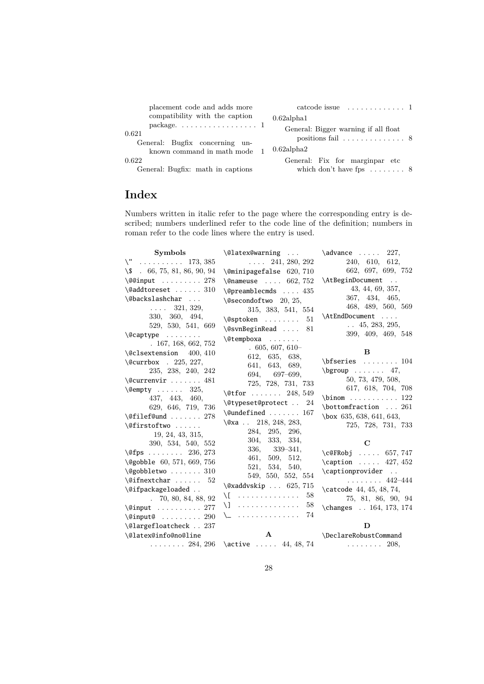| placement code and adds more<br>compatibility with the caption | catcode issue $\dots\dots\dots\dots\dots$<br>$0.62$ alpha $1$ |
|----------------------------------------------------------------|---------------------------------------------------------------|
| 0.621                                                          | General: Bigger warning if all float                          |
| General: Bugfix concerning un-                                 | positions fail $\ldots \ldots \ldots \ldots 8$                |
| known command in math mode 1                                   | $0.62$ alpha $2$                                              |
| 0.622                                                          | General: Fix for margin par etc                               |
| General: Bugfix: math in captions                              | which don't have fps $\dots \dots$ 8                          |

## **Index**

Numbers written in italic refer to the page where the corresponding entry is described; numbers underlined refer to the code line of the definition; numbers in roman refer to the code lines where the entry is used.

| Symbols                                          | \@latex@warning                           | $\lambda$ advance  227,                                             |
|--------------------------------------------------|-------------------------------------------|---------------------------------------------------------------------|
| $\Upsilon$ 173, 385                              | $\ldots$ 241, 280, 292                    | 240, 610, 612,                                                      |
| $\setminus$ \$ . 66, 75, 81, 86, 90, 94          | $\{\n$ eminipagefalse 620, 710            | 662, 697, 699, 752                                                  |
| $\text{Q@input}$ 278                             | \@nameuse  662, 752                       | \AtBeginDocument                                                    |
| $\text{\textdegree}$ 310                         | $\Omega$ 435                              | 43, 44, 69, 357,                                                    |
| \@backslashchar                                  | \@secondoftwo 20, 25,                     | 367, 434, 465,                                                      |
| $\ldots$ 321, 329,                               | 315, 383, 541, 554                        | 468, 489, 560, 569                                                  |
| 330, 360, 494,                                   | \@sptoken<br>51                           | \AtEndDocument                                                      |
| 529, 530, 541, 669                               | \@svnBeginRead  81                        | $\ldots$ 45, 283, 295,                                              |
| $\text{Qcaptype}$                                | \@tempboxa                                | 399, 409, 469, 548                                                  |
| .167, 168, 662, 752                              | $.605,607,610-$                           |                                                                     |
| \@clsextension 400,410                           | 612, 635, 638,                            | B                                                                   |
| \@currbox . 225, 227,                            | 641, 643, 689,                            | $\bf{\bf b}$ fseries  104                                           |
| 235, 238, 240, 242                               | 694, 697-699,                             | $\begin{bmatrix} \text{bgroup} \dots \dots \quad 47, \end{bmatrix}$ |
| $\&$ Currenvir $\ldots \ldots \cdot 481$         | 725, 728, 731, 733                        | 50, 73, 479, 508,                                                   |
| $\text{Qempty} \dots \dots \quad 325,$           | $\setminus$ @tfor  248, 549               | 617, 618, 704, 708                                                  |
| 437, 443, 460,                                   | $\text{Qtypeset@protext } 24$             | $\binom \dots \dots \dots \ 122$                                    |
| 629, 646, 719, 736                               | $\{\text{Qundefined} \dots \dots \ 167\}$ | \bottomfraction  261                                                |
| $\setminus$ @filef@und  278                      | $\alpha$ . 218, 248, 283,                 | \box 635, 638, 641, 643,                                            |
| \@firstoftwo                                     | 284, 295, 296,                            | 725, 728, 731, 733                                                  |
| 19, 24, 43, 315,                                 | 304, 333,<br>334,                         |                                                                     |
| 390, 534, 540, 552                               | $336, \quad 339 - 341,$                   | $\mathbf C$                                                         |
| $\left\{\text{@fps}\right.\dots\dots\ 236,\,273$ | 461, 509, 512,                            | \c@FRobj $657, 747$                                                 |
| \@gobble 60, 571, 669, 756                       | 521, 534, 540,                            | \caption $\ldots$ 427, 452                                          |
| \@gobbletwo  310                                 | 549, 550, 552, 554                        | \captionprovider                                                    |
| $\setminus$ @ifnextchar  52                      | $\alpha$ dxaddvskip  625,715              | $\ldots \ldots \ldots$ 442–444                                      |
| \@ifpackageloaded                                | 58<br>\[________________                  | \catcode 44, 45, 48, 74,                                            |
| 70, 80, 84, 88, 92                               | \]<br>58<br>.                             | 75, 81, 86, 90, 94                                                  |
| $\langle$ ainput  277                            | .<br>74<br>╰                              | \changes . 164, 173, 174                                            |
| $\langle$ @input@  290                           |                                           | D                                                                   |
| \@largefloatcheck  237<br>\@latex@info@no@line   | $\mathbf{A}$                              |                                                                     |
|                                                  | 284, 296 \active  44, 48, 74  208,        | \DeclareRobustCommand                                               |
|                                                  |                                           |                                                                     |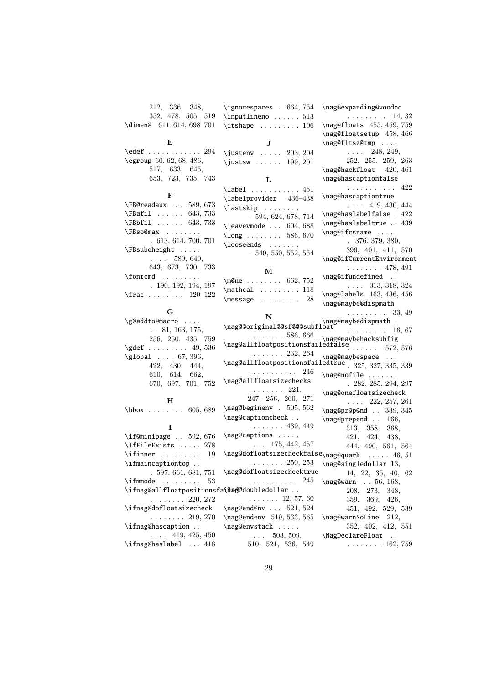|                         | 212, 336, 348,     |  |
|-------------------------|--------------------|--|
|                         | 352, 478, 505, 519 |  |
| \dimen@ 611-614.698-701 |                    |  |

| $\text{led}$ edef $\,\dots\, \dots\, \dots\, \ 294$ |                    |  |
|-----------------------------------------------------|--------------------|--|
| $\qquad$ (egroup 60, 62, 68, 486,                   |                    |  |
|                                                     | 517, 633, 645,     |  |
|                                                     | 653, 723, 735, 743 |  |
|                                                     |                    |  |

**E**

## **F**

| \FB@readaux  589, 673 |
|-----------------------|
| \FBafil  643, 733     |
| \FBbfil<br>643, 733   |
| \FBso@max             |
| . 613, 614, 700, 701  |
| \FBsuboheight         |
| $\ldots$ 589, 640,    |
| 643, 673, 730, 733    |
| $\forall$ fontcmd     |
| . 190, 192, 194, 197  |
| $\frac{120-122}{5}$   |

#### **G**  $\sqrt{ab}$ addto@macro

| $\sum_{i=1}^{n}$                     |   |                        |  |
|--------------------------------------|---|------------------------|--|
|                                      |   | $\ldots$ 81, 163, 175, |  |
|                                      |   | 256, 260, 435, 759     |  |
| $\qquad \qquad \qquad \qquad 49,536$ |   |                        |  |
| $\gtrsim 67, 396,$                   |   |                        |  |
|                                      |   | 422, 430, 444,         |  |
|                                      |   | 610, 614, 662,         |  |
|                                      |   | 670, 697, 701, 752     |  |
| $hbox$ 605, 689                      | н |                        |  |
|                                      |   |                        |  |

| \if@minipage $.592,676$                       | \nag@captions        |
|-----------------------------------------------|----------------------|
| \IfFileExists  278                            | $\ldots$ 175, 442    |
| $\iintinner$ 19                               | \nag@dofloatsizeched |
| \ifmaincaptiontop                             | . 250                |
| .597,661,681,751                              | \nag@dofloatsizeched |
| $\iint_{\text{mnode}} \ldots \ldots \quad 53$ | .                    |
| \ifnag@allfloatpositionsfa\ieg@doubledollar   |                      |
| $\cdots \cdots 220, 272$                      | . 12, 5              |
| \ifnag@dofloatsizecheck                       | \nag@end@nv  521     |
| $\ldots \ldots 219, 270$                      | \nag@endenv 519, 533 |
| \ifnag@hascaption                             | \nag@envstack        |
| $\ldots$ 419, 425, 450                        | $\ldots 503, 509$    |
| \ifnag@haslabel  418                          | 510, 521, 536,       |

| \ignorespaces . $664, 754$       |  |  |
|----------------------------------|--|--|
| $\in$ 13                         |  |  |
| $\text{itshape} \dots \dots 106$ |  |  |

### **J**

| \justenv $203, 204$ |  |  |  |  |
|---------------------|--|--|--|--|
| \justsw $199, 201$  |  |  |  |  |

| $\lambda$ label  451   |
|------------------------|
| \labelprovider 436-438 |
|                        |
| .594,624,678,714       |
| \leavevmode  604, 688  |
| $\lambda$ 0 586, 670   |
| \looseends             |
| .549,550,552,554       |
|                        |
|                        |

| \m@ne 662, 752                        |  |  |  |  |  |
|---------------------------------------|--|--|--|--|--|
| $\mathcal{L} \ldots \ldots 118$       |  |  |  |  |  |
| $\text{message} \dots \dots \quad 28$ |  |  |  |  |  |

**N** \nag@@original@@sf@@@subfloat \nag@maybedispmath . . . . . . . . . 586, 666 \nag@allfloatpositionsfailedfalse . . . . . . . . 232, 264 \nag@allfloatpositionsfailedtrue<br>\nag@allfloatpositionsfailedtrue . . . . . . . . . . . 246 \nag@allfloatsizechecks . . . . . . . . 221, 247, 256, 260, 271 \nag@beginenv . 505, 562 \nag@captioncheck . . . . . . . . . . 439, 449 \nag@captions . . . . .  $\ldots$  175, 442, 457 \nag@dofloatsizecheckfalse \nag@quark . . . . . 46, 51 . . . . . . . . 250, 253 \nag@dofloatsizechecktrue . . . . . . . . . . . 245  $\ldots \ldots 12, 57, 60$ \nag@end@nv . . . 521, 524 \nag@endenv 519, 533, 565 \nag@envstack . . . . .  $\ldots$  503, 509, 510, 521, 536, 549 \nag@nofile ....... \nag@onefloatsizecheck \nag@prepend . . 166, 313, 358, 368, 421, 424, 438, \nag@singledollar 13, 14, 22, 35, 40, 62 \nag@warn . . 56, 168, 208, 273, 348, 359, 369, 426, 451, 492, 529, 539 \nag@warnNoLine 212, 352, 402, 412, 551 \NagDeclareFloat . .

## \nag@hascaptionfalse . . . . . . . . . . . 422 \nag@hascaptiontrue  $\ldots$  419, 430, 444 \nag@haslabelfalse . 422 \nag@haslabeltrue . . 439 \nag@ifcsname . . . . . . 376, 379, 380, 396, 401, 411, 570 \nag@ifCurrentEnvironment . . . . . . . . 478, 491 \nag@ifundefined .. . . . . 313, 318, 324 \nag@labels 163, 436, 456 \nag@maybe@dispmath . . . . . . . . . 33, 49 . . . . . . . . . 16, 67  $\frac{1}{2}$  . . . . . . . 572, 576 . 325, 327, 335, 339 . 282, 285, 294, 297  $\ldots$  222, 257, 261 \nag@pr@p@nd . . 339, 345 444, 490, 561, 564

. . . . . . . . 162, 759

\nag@expanding@voodoo

. . . . . . . . . 14, 32 \nag@floats 455, 459, 759 \nag@floatsetup 458, 466 \nag@fltsz@tmp . . . .  $\ldots$  248, 249, 252, 255, 259, 263 \nag@hackfloat 420, 461